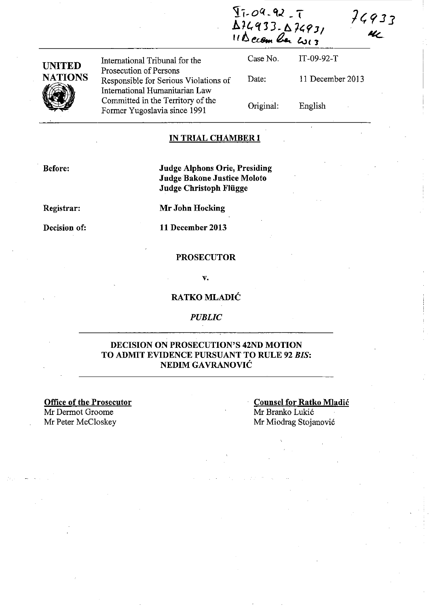$42 - 7$ **A U., q j J - 6.** 7~? ] <sup>I</sup>  $II\Delta$ ccom ber w13



-----\_ .. -

International Tribunal for the Prosecution of Persons Responsible for Serious Violations of International Humanitarian Law Committed in the Territory of the Former Yugoslavia since 1991

Case No. Date: Original: IT-09-92-T 11 December 2013 English

74933

UL

### **IN TRIAL CHAMBER I**

**Before:** 

**Judge Alphons Orie, Presiding Judge Bakone Justice Moloto Judge Christoph Fliigge** 

**Registrar:** 

**Decision of:** 

**Mr John Hocking** 

**11 December 2013** 

#### **PROSECUTOR**

v.

### **RATKO MLADIC**

*PUBLIC* 

### **DECISION ON PROSECUTION'S 42ND MOTION TO ADMIT EVIDENCE PURSUANT TO RULE 92** *BIS:*  **NEDIMGA VRANOVIC**

**Office of the Prosecutor**  Mr Dermot Groome<br>Mr Peter McCloskey

**Counsel for Ratko Mladic**  Mr Branko Lukić Mr Miodrag Stojanović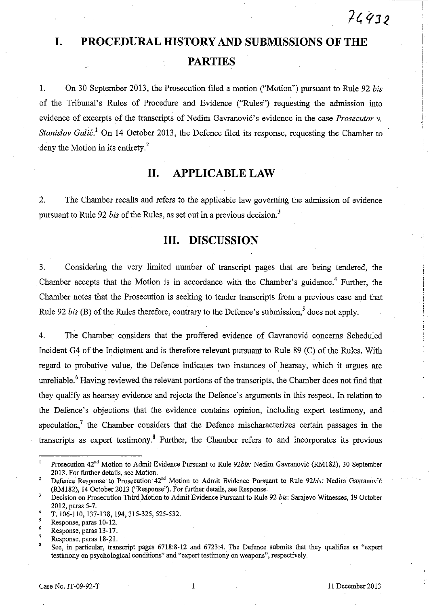# $74932$

# **I. PROCEDURAL HISTORY AND SUBMISSIONS OF THE PARTIES**

1. On 30 September 2013, the Prosecution filed a motion ("Motion") pursuant to Rule 92 *bis*  of the Tribunal's Rules of Procedure and Evidence ("Rules") requesting the admission into evidence of excerpts of the transcripts of Nedim Gavranović's evidence in the case *Prosecutor v. Stanislav Galić*.<sup>1</sup> On 14 October 2013, the Defence filed its response, requesting the Chamber to deny the Motion in its entirety.<sup>2</sup>

# **11. APPLICABLE LAW**

2. The Chamber recalls and refers to the applicable law governing the admission of evidence pursuant to Rule 92 *bis* of the Rules, as set out in a previous decision.<sup>3</sup>

## **Ill. DISCUSSION**

3. Considering the very limited number of transcript pages that are being tendered, the Chamber accepts that the Motion is in accordance with the Chamber's guidance.<sup>4</sup> Further, the Chamber notes that the Prosecution is seeking to tender transcripts from a previous case and that Rule 92 *bis* (B) of the Rules therefore, contrary to the Defence's submission,<sup>5</sup> does not apply.

4. The Chamber considers that the proffered evidence of Gavranović concerns Scheduled Incident G4 of the Indictment and is therefore relevant pursuant to Rule 89 (C) of the Rules. With regard to probative value, the Defence indicates two instances of hearsay, which it argues are unreliable.<sup>6</sup> Having reviewed the relevant portions of the transcripts, the Chamber does not find that they qualify as hearsay evidence and rejects the Defence's arguments in this respect. In relation to the Defence's objections that the evidence contains opinion, including expert testimony, and speculation,<sup>7</sup> the Chamber considers that the Defence mischaracterizes certain passages in the transcripts as expert testimony. 8 Further, the Chamber refers to and incorporates its previous

 $\mathbf{I}$ Prosecution 42<sup>nd</sup> Motion to Admit Evidence Pursuant to Rule 92bis: Nedim Gavranović (RM182), 30 September 2013. For further details, see Motion.

<sup>2</sup>  Defence Response to Prosecution 42<sup>nd</sup> Motion to Admit Evidence Pursuant to Rule 92bis: Nedim Gavranović (RMI82), 14 October 2013 ("Response"). For further details, see Response.

 $\overline{\mathbf{3}}$ Decision on Prosecution Third Motion to Admit Evidence Pursuant to Rule 92 *bis:* Sarajevo Witnesses, 19 October 2012, paras 5-7.

T. 106-110, 137-138, 194,315-325,525-532.

Response, paras 10-12.

<sup>6</sup>  Response, paras 13 -17.

<sup>7</sup>  Response, paras 18-21.

See, in particular, transcript pages 6718:8-12 and 6723:4. The Defence submits that they qualifies as "expert testimony on psychological conditions" and "expert testimony on weapons", respectively.